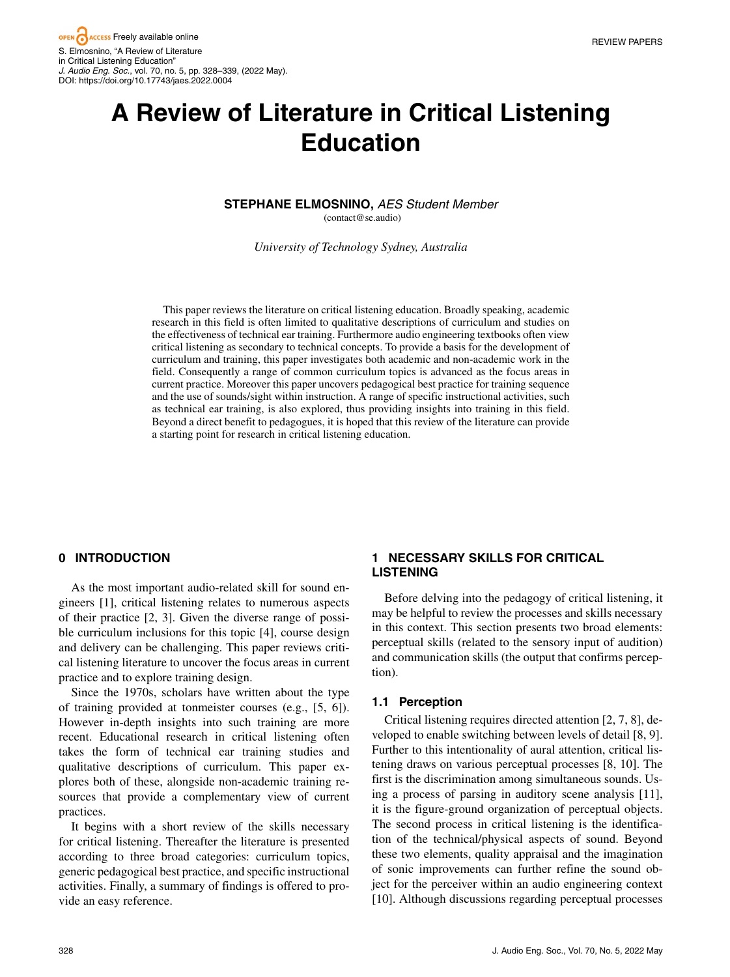# **A Review of Literature in Critical Listening Education**

#### **STEPHANE ELMOSNINO,** *AES Student Member* (contact@se.audio)

*University of Technology Sydney, Australia*

This paper reviews the literature on critical listening education. Broadly speaking, academic research in this field is often limited to qualitative descriptions of curriculum and studies on the effectiveness of technical ear training. Furthermore audio engineering textbooks often view critical listening as secondary to technical concepts. To provide a basis for the development of curriculum and training, this paper investigates both academic and non-academic work in the field. Consequently a range of common curriculum topics is advanced as the focus areas in current practice. Moreover this paper uncovers pedagogical best practice for training sequence and the use of sounds/sight within instruction. A range of specific instructional activities, such as technical ear training, is also explored, thus providing insights into training in this field. Beyond a direct benefit to pedagogues, it is hoped that this review of the literature can provide a starting point for research in critical listening education.

## **0 INTRODUCTION**

As the most important audio-related skill for sound engineers [1], critical listening relates to numerous aspects of their practice [2, 3]. Given the diverse range of possible curriculum inclusions for this topic [4], course design and delivery can be challenging. This paper reviews critical listening literature to uncover the focus areas in current practice and to explore training design.

Since the 1970s, scholars have written about the type of training provided at tonmeister courses (e.g., [5, 6]). However in-depth insights into such training are more recent. Educational research in critical listening often takes the form of technical ear training studies and qualitative descriptions of curriculum. This paper explores both of these, alongside non-academic training resources that provide a complementary view of current practices.

It begins with a short review of the skills necessary for critical listening. Thereafter the literature is presented according to three broad categories: curriculum topics, generic pedagogical best practice, and specific instructional activities. Finally, a summary of findings is offered to provide an easy reference.

# **1 NECESSARY SKILLS FOR CRITICAL LISTENING**

Before delving into the pedagogy of critical listening, it may be helpful to review the processes and skills necessary in this context. This section presents two broad elements: perceptual skills (related to the sensory input of audition) and communication skills (the output that confirms perception).

## **1.1 Perception**

Critical listening requires directed attention [2, 7, 8], developed to enable switching between levels of detail [8, 9]. Further to this intentionality of aural attention, critical listening draws on various perceptual processes [8, 10]. The first is the discrimination among simultaneous sounds. Using a process of parsing in auditory scene analysis [11], it is the figure-ground organization of perceptual objects. The second process in critical listening is the identification of the technical/physical aspects of sound. Beyond these two elements, quality appraisal and the imagination of sonic improvements can further refine the sound object for the perceiver within an audio engineering context [10]. Although discussions regarding perceptual processes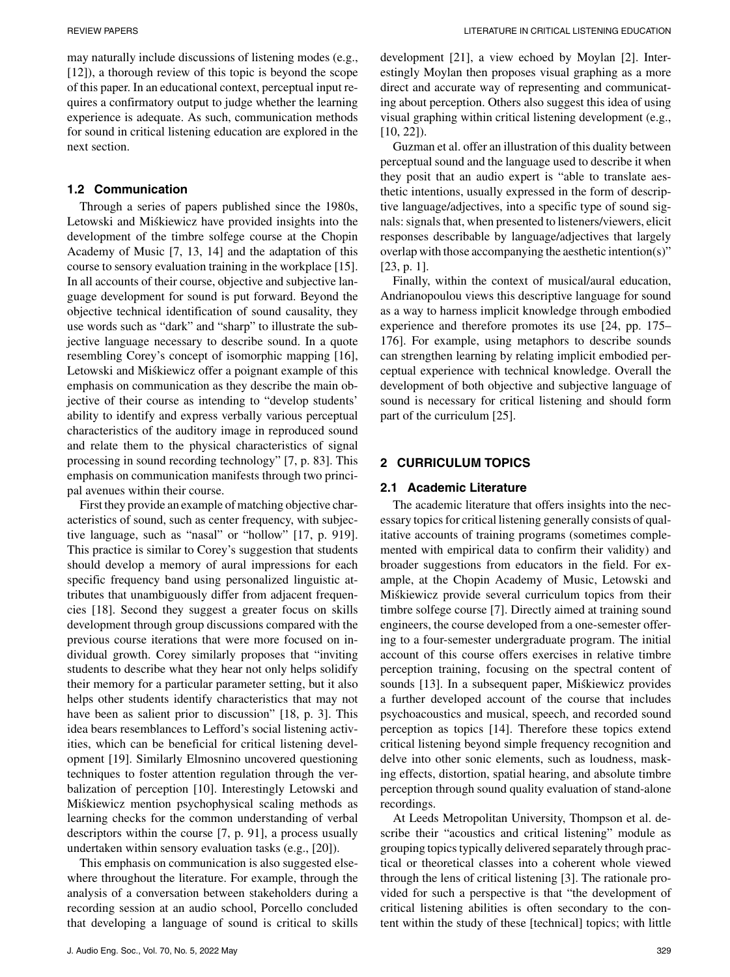may naturally include discussions of listening modes (e.g., [12]), a thorough review of this topic is beyond the scope of this paper. In an educational context, perceptual input requires a confirmatory output to judge whether the learning experience is adequate. As such, communication methods for sound in critical listening education are explored in the next section.

### **1.2 Communication**

Through a series of papers published since the 1980s, Letowski and Miśkiewicz have provided insights into the development of the timbre solfege course at the Chopin Academy of Music [7, 13, 14] and the adaptation of this course to sensory evaluation training in the workplace [15]. In all accounts of their course, objective and subjective language development for sound is put forward. Beyond the objective technical identification of sound causality, they use words such as "dark" and "sharp" to illustrate the subjective language necessary to describe sound. In a quote resembling Corey's concept of isomorphic mapping [16], Letowski and Miskiewicz offer a poignant example of this ´ emphasis on communication as they describe the main objective of their course as intending to "develop students' ability to identify and express verbally various perceptual characteristics of the auditory image in reproduced sound and relate them to the physical characteristics of signal processing in sound recording technology" [7, p. 83]. This emphasis on communication manifests through two principal avenues within their course.

First they provide an example of matching objective characteristics of sound, such as center frequency, with subjective language, such as "nasal" or "hollow" [17, p. 919]. This practice is similar to Corey's suggestion that students should develop a memory of aural impressions for each specific frequency band using personalized linguistic attributes that unambiguously differ from adjacent frequencies [18]. Second they suggest a greater focus on skills development through group discussions compared with the previous course iterations that were more focused on individual growth. Corey similarly proposes that "inviting students to describe what they hear not only helps solidify their memory for a particular parameter setting, but it also helps other students identify characteristics that may not have been as salient prior to discussion" [18, p. 3]. This idea bears resemblances to Lefford's social listening activities, which can be beneficial for critical listening development [19]. Similarly Elmosnino uncovered questioning techniques to foster attention regulation through the verbalization of perception [10]. Interestingly Letowski and Miskiewicz mention psychophysical scaling methods as ´ learning checks for the common understanding of verbal descriptors within the course [7, p. 91], a process usually undertaken within sensory evaluation tasks (e.g., [20]).

This emphasis on communication is also suggested elsewhere throughout the literature. For example, through the analysis of a conversation between stakeholders during a recording session at an audio school, Porcello concluded that developing a language of sound is critical to skills development [21], a view echoed by Moylan [2]. Interestingly Moylan then proposes visual graphing as a more direct and accurate way of representing and communicating about perception. Others also suggest this idea of using visual graphing within critical listening development (e.g., [10, 22]).

Guzman et al. offer an illustration of this duality between perceptual sound and the language used to describe it when they posit that an audio expert is "able to translate aesthetic intentions, usually expressed in the form of descriptive language/adjectives, into a specific type of sound signals: signals that, when presented to listeners/viewers, elicit responses describable by language/adjectives that largely overlap with those accompanying the aesthetic intention(s)" [23, p. 1].

Finally, within the context of musical/aural education, Andrianopoulou views this descriptive language for sound as a way to harness implicit knowledge through embodied experience and therefore promotes its use [24, pp. 175– 176]. For example, using metaphors to describe sounds can strengthen learning by relating implicit embodied perceptual experience with technical knowledge. Overall the development of both objective and subjective language of sound is necessary for critical listening and should form part of the curriculum [25].

## **2 CURRICULUM TOPICS**

#### **2.1 Academic Literature**

The academic literature that offers insights into the necessary topics for critical listening generally consists of qualitative accounts of training programs (sometimes complemented with empirical data to confirm their validity) and broader suggestions from educators in the field. For example, at the Chopin Academy of Music, Letowski and Miskiewicz provide several curriculum topics from their ´ timbre solfege course [7]. Directly aimed at training sound engineers, the course developed from a one-semester offering to a four-semester undergraduate program. The initial account of this course offers exercises in relative timbre perception training, focusing on the spectral content of sounds [13]. In a subsequent paper, Miśkiewicz provides a further developed account of the course that includes psychoacoustics and musical, speech, and recorded sound perception as topics [14]. Therefore these topics extend critical listening beyond simple frequency recognition and delve into other sonic elements, such as loudness, masking effects, distortion, spatial hearing, and absolute timbre perception through sound quality evaluation of stand-alone recordings.

At Leeds Metropolitan University, Thompson et al. describe their "acoustics and critical listening" module as grouping topics typically delivered separately through practical or theoretical classes into a coherent whole viewed through the lens of critical listening [3]. The rationale provided for such a perspective is that "the development of critical listening abilities is often secondary to the content within the study of these [technical] topics; with little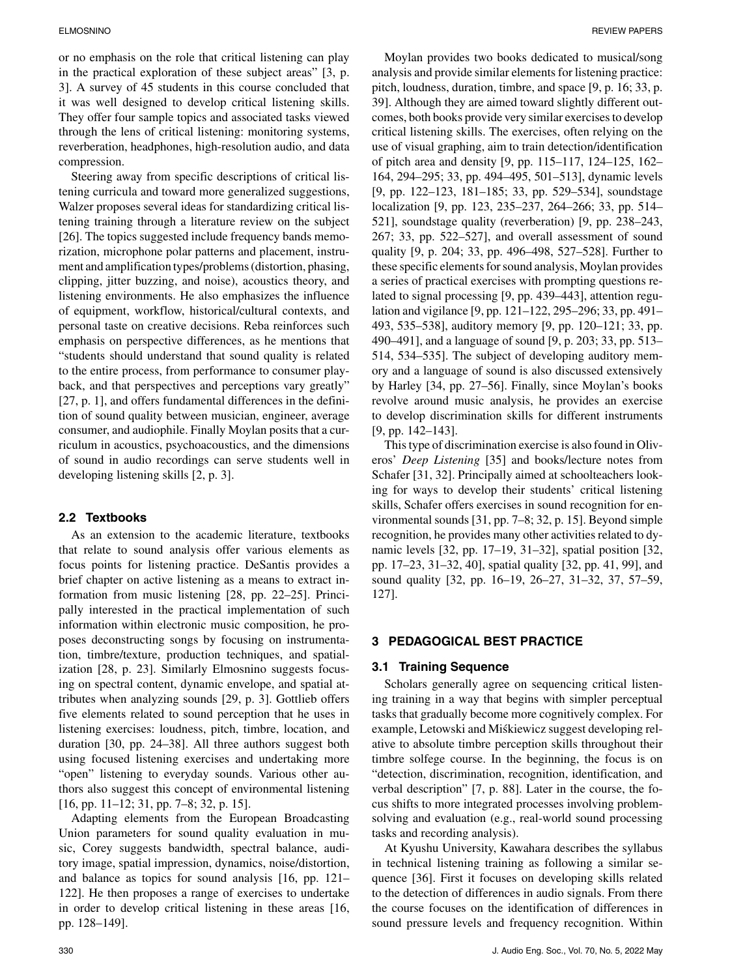or no emphasis on the role that critical listening can play in the practical exploration of these subject areas" [3, p. 3]. A survey of 45 students in this course concluded that it was well designed to develop critical listening skills. They offer four sample topics and associated tasks viewed through the lens of critical listening: monitoring systems, reverberation, headphones, high-resolution audio, and data compression.

Steering away from specific descriptions of critical listening curricula and toward more generalized suggestions, Walzer proposes several ideas for standardizing critical listening training through a literature review on the subject [26]. The topics suggested include frequency bands memorization, microphone polar patterns and placement, instrument and amplification types/problems (distortion, phasing, clipping, jitter buzzing, and noise), acoustics theory, and listening environments. He also emphasizes the influence of equipment, workflow, historical/cultural contexts, and personal taste on creative decisions. Reba reinforces such emphasis on perspective differences, as he mentions that "students should understand that sound quality is related to the entire process, from performance to consumer playback, and that perspectives and perceptions vary greatly" [27, p. 1], and offers fundamental differences in the definition of sound quality between musician, engineer, average consumer, and audiophile. Finally Moylan posits that a curriculum in acoustics, psychoacoustics, and the dimensions of sound in audio recordings can serve students well in developing listening skills [2, p. 3].

# **2.2 Textbooks**

As an extension to the academic literature, textbooks that relate to sound analysis offer various elements as focus points for listening practice. DeSantis provides a brief chapter on active listening as a means to extract information from music listening [28, pp. 22–25]. Principally interested in the practical implementation of such information within electronic music composition, he proposes deconstructing songs by focusing on instrumentation, timbre/texture, production techniques, and spatialization [28, p. 23]. Similarly Elmosnino suggests focusing on spectral content, dynamic envelope, and spatial attributes when analyzing sounds [29, p. 3]. Gottlieb offers five elements related to sound perception that he uses in listening exercises: loudness, pitch, timbre, location, and duration [30, pp. 24–38]. All three authors suggest both using focused listening exercises and undertaking more "open" listening to everyday sounds. Various other authors also suggest this concept of environmental listening [16, pp. 11–12; 31, pp. 7–8; 32, p. 15].

Adapting elements from the European Broadcasting Union parameters for sound quality evaluation in music, Corey suggests bandwidth, spectral balance, auditory image, spatial impression, dynamics, noise/distortion, and balance as topics for sound analysis [16, pp. 121– 122]. He then proposes a range of exercises to undertake in order to develop critical listening in these areas [16, pp. 128–149].

Moylan provides two books dedicated to musical/song analysis and provide similar elements for listening practice: pitch, loudness, duration, timbre, and space [9, p. 16; 33, p. 39]. Although they are aimed toward slightly different outcomes, both books provide very similar exercises to develop critical listening skills. The exercises, often relying on the use of visual graphing, aim to train detection/identification of pitch area and density [9, pp. 115–117, 124–125, 162– 164, 294–295; 33, pp. 494–495, 501–513], dynamic levels [9, pp. 122–123, 181–185; 33, pp. 529–534], soundstage localization [9, pp. 123, 235–237, 264–266; 33, pp. 514– 521], soundstage quality (reverberation) [9, pp. 238–243, 267; 33, pp. 522–527], and overall assessment of sound quality [9, p. 204; 33, pp. 496–498, 527–528]. Further to these specific elements for sound analysis, Moylan provides a series of practical exercises with prompting questions related to signal processing [9, pp. 439–443], attention regulation and vigilance [9, pp. 121–122, 295–296; 33, pp. 491– 493, 535–538], auditory memory [9, pp. 120–121; 33, pp. 490–491], and a language of sound [9, p. 203; 33, pp. 513– 514, 534–535]. The subject of developing auditory memory and a language of sound is also discussed extensively by Harley [34, pp. 27–56]. Finally, since Moylan's books revolve around music analysis, he provides an exercise to develop discrimination skills for different instruments [9, pp. 142–143].

This type of discrimination exercise is also found in Oliveros' *Deep Listening* [35] and books/lecture notes from Schafer [31, 32]. Principally aimed at schoolteachers looking for ways to develop their students' critical listening skills, Schafer offers exercises in sound recognition for environmental sounds [31, pp. 7–8; 32, p. 15]. Beyond simple recognition, he provides many other activities related to dynamic levels [32, pp. 17–19, 31–32], spatial position [32, pp. 17–23, 31–32, 40], spatial quality [32, pp. 41, 99], and sound quality [32, pp. 16–19, 26–27, 31–32, 37, 57–59, 127].

## **3 PEDAGOGICAL BEST PRACTICE**

## **3.1 Training Sequence**

Scholars generally agree on sequencing critical listening training in a way that begins with simpler perceptual tasks that gradually become more cognitively complex. For example, Letowski and Miskiewicz suggest developing rel- ´ ative to absolute timbre perception skills throughout their timbre solfege course. In the beginning, the focus is on "detection, discrimination, recognition, identification, and verbal description" [7, p. 88]. Later in the course, the focus shifts to more integrated processes involving problemsolving and evaluation (e.g., real-world sound processing tasks and recording analysis).

At Kyushu University, Kawahara describes the syllabus in technical listening training as following a similar sequence [36]. First it focuses on developing skills related to the detection of differences in audio signals. From there the course focuses on the identification of differences in sound pressure levels and frequency recognition. Within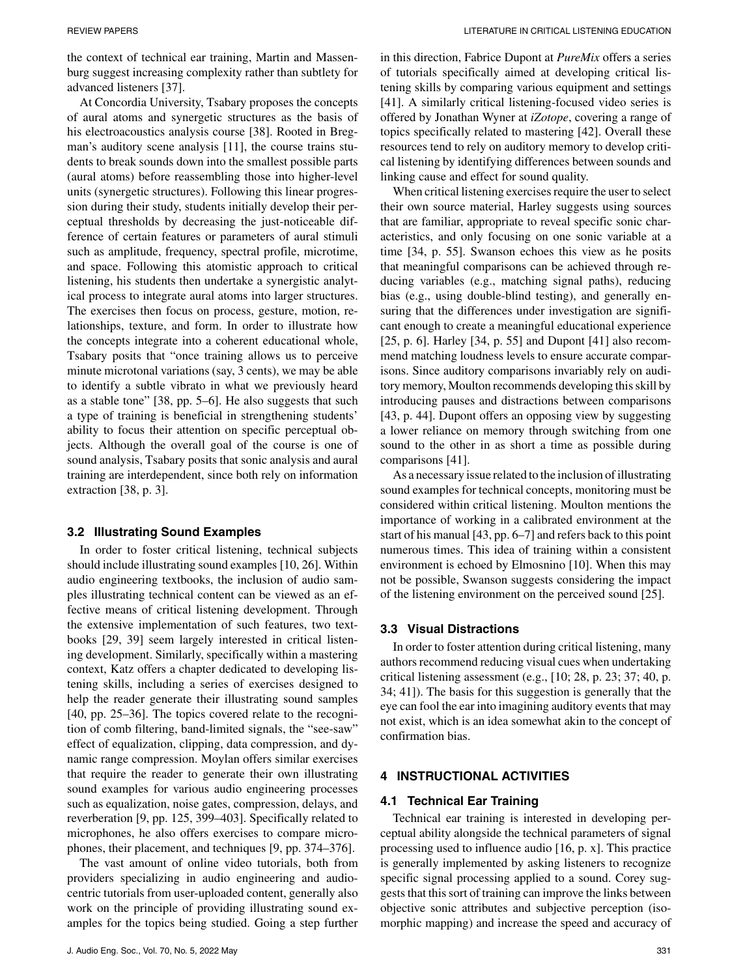the context of technical ear training, Martin and Massenburg suggest increasing complexity rather than subtlety for advanced listeners [37].

At Concordia University, Tsabary proposes the concepts of aural atoms and synergetic structures as the basis of his electroacoustics analysis course [38]. Rooted in Bregman's auditory scene analysis [11], the course trains students to break sounds down into the smallest possible parts (aural atoms) before reassembling those into higher-level units (synergetic structures). Following this linear progression during their study, students initially develop their perceptual thresholds by decreasing the just-noticeable difference of certain features or parameters of aural stimuli such as amplitude, frequency, spectral profile, microtime, and space. Following this atomistic approach to critical listening, his students then undertake a synergistic analytical process to integrate aural atoms into larger structures. The exercises then focus on process, gesture, motion, relationships, texture, and form. In order to illustrate how the concepts integrate into a coherent educational whole, Tsabary posits that "once training allows us to perceive minute microtonal variations (say, 3 cents), we may be able to identify a subtle vibrato in what we previously heard as a stable tone" [38, pp. 5–6]. He also suggests that such a type of training is beneficial in strengthening students' ability to focus their attention on specific perceptual objects. Although the overall goal of the course is one of sound analysis, Tsabary posits that sonic analysis and aural training are interdependent, since both rely on information extraction [38, p. 3].

#### **3.2 Illustrating Sound Examples**

In order to foster critical listening, technical subjects should include illustrating sound examples [10, 26]. Within audio engineering textbooks, the inclusion of audio samples illustrating technical content can be viewed as an effective means of critical listening development. Through the extensive implementation of such features, two textbooks [29, 39] seem largely interested in critical listening development. Similarly, specifically within a mastering context, Katz offers a chapter dedicated to developing listening skills, including a series of exercises designed to help the reader generate their illustrating sound samples [40, pp. 25–36]. The topics covered relate to the recognition of comb filtering, band-limited signals, the "see-saw" effect of equalization, clipping, data compression, and dynamic range compression. Moylan offers similar exercises that require the reader to generate their own illustrating sound examples for various audio engineering processes such as equalization, noise gates, compression, delays, and reverberation [9, pp. 125, 399–403]. Specifically related to microphones, he also offers exercises to compare microphones, their placement, and techniques [9, pp. 374–376].

The vast amount of online video tutorials, both from providers specializing in audio engineering and audiocentric tutorials from user-uploaded content, generally also work on the principle of providing illustrating sound examples for the topics being studied. Going a step further in this direction, Fabrice Dupont at *PureMix* offers a series of tutorials specifically aimed at developing critical listening skills by comparing various equipment and settings [41]. A similarly critical listening-focused video series is offered by Jonathan Wyner at *iZotope*, covering a range of topics specifically related to mastering [42]. Overall these resources tend to rely on auditory memory to develop critical listening by identifying differences between sounds and linking cause and effect for sound quality.

When critical listening exercises require the user to select their own source material, Harley suggests using sources that are familiar, appropriate to reveal specific sonic characteristics, and only focusing on one sonic variable at a time [34, p. 55]. Swanson echoes this view as he posits that meaningful comparisons can be achieved through reducing variables (e.g., matching signal paths), reducing bias (e.g., using double-blind testing), and generally ensuring that the differences under investigation are significant enough to create a meaningful educational experience [25, p. 6]. Harley [34, p. 55] and Dupont  $[41]$  also recommend matching loudness levels to ensure accurate comparisons. Since auditory comparisons invariably rely on auditory memory, Moulton recommends developing this skill by introducing pauses and distractions between comparisons [43, p. 44]. Dupont offers an opposing view by suggesting a lower reliance on memory through switching from one sound to the other in as short a time as possible during comparisons [41].

As a necessary issue related to the inclusion of illustrating sound examples for technical concepts, monitoring must be considered within critical listening. Moulton mentions the importance of working in a calibrated environment at the start of his manual [43, pp. 6–7] and refers back to this point numerous times. This idea of training within a consistent environment is echoed by Elmosnino [10]. When this may not be possible, Swanson suggests considering the impact of the listening environment on the perceived sound [25].

#### **3.3 Visual Distractions**

In order to foster attention during critical listening, many authors recommend reducing visual cues when undertaking critical listening assessment (e.g., [10; 28, p. 23; 37; 40, p. 34; 41]). The basis for this suggestion is generally that the eye can fool the ear into imagining auditory events that may not exist, which is an idea somewhat akin to the concept of confirmation bias.

## **4 INSTRUCTIONAL ACTIVITIES**

#### **4.1 Technical Ear Training**

Technical ear training is interested in developing perceptual ability alongside the technical parameters of signal processing used to influence audio [16, p. x]. This practice is generally implemented by asking listeners to recognize specific signal processing applied to a sound. Corey suggests that this sort of training can improve the links between objective sonic attributes and subjective perception (isomorphic mapping) and increase the speed and accuracy of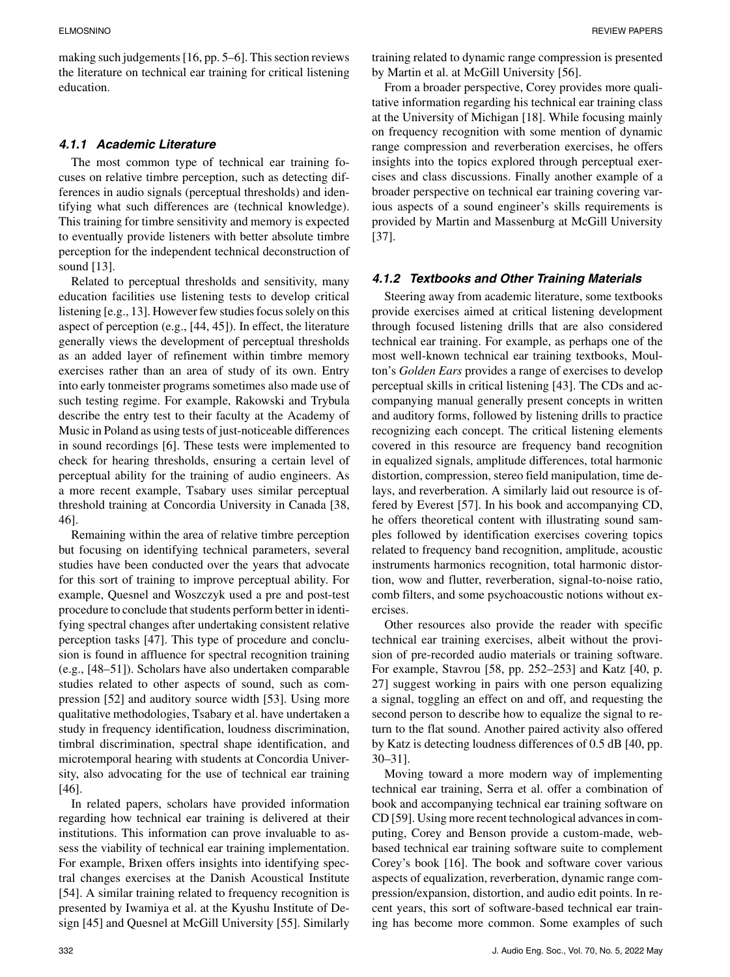making such judgements [16, pp. 5–6]. This section reviews the literature on technical ear training for critical listening education.

## *4.1.1 Academic Literature*

The most common type of technical ear training focuses on relative timbre perception, such as detecting differences in audio signals (perceptual thresholds) and identifying what such differences are (technical knowledge). This training for timbre sensitivity and memory is expected to eventually provide listeners with better absolute timbre perception for the independent technical deconstruction of sound [13].

Related to perceptual thresholds and sensitivity, many education facilities use listening tests to develop critical listening [e.g., 13]. However few studies focus solely on this aspect of perception (e.g., [44, 45]). In effect, the literature generally views the development of perceptual thresholds as an added layer of refinement within timbre memory exercises rather than an area of study of its own. Entry into early tonmeister programs sometimes also made use of such testing regime. For example, Rakowski and Trybula describe the entry test to their faculty at the Academy of Music in Poland as using tests of just-noticeable differences in sound recordings [6]. These tests were implemented to check for hearing thresholds, ensuring a certain level of perceptual ability for the training of audio engineers. As a more recent example, Tsabary uses similar perceptual threshold training at Concordia University in Canada [38, 46].

Remaining within the area of relative timbre perception but focusing on identifying technical parameters, several studies have been conducted over the years that advocate for this sort of training to improve perceptual ability. For example, Quesnel and Woszczyk used a pre and post-test procedure to conclude that students perform better in identifying spectral changes after undertaking consistent relative perception tasks [47]. This type of procedure and conclusion is found in affluence for spectral recognition training (e.g., [48–51]). Scholars have also undertaken comparable studies related to other aspects of sound, such as compression [52] and auditory source width [53]. Using more qualitative methodologies, Tsabary et al. have undertaken a study in frequency identification, loudness discrimination, timbral discrimination, spectral shape identification, and microtemporal hearing with students at Concordia University, also advocating for the use of technical ear training [46].

In related papers, scholars have provided information regarding how technical ear training is delivered at their institutions. This information can prove invaluable to assess the viability of technical ear training implementation. For example, Brixen offers insights into identifying spectral changes exercises at the Danish Acoustical Institute [54]. A similar training related to frequency recognition is presented by Iwamiya et al. at the Kyushu Institute of Design [45] and Quesnel at McGill University [55]. Similarly

training related to dynamic range compression is presented by Martin et al. at McGill University [56].

From a broader perspective, Corey provides more qualitative information regarding his technical ear training class at the University of Michigan [18]. While focusing mainly on frequency recognition with some mention of dynamic range compression and reverberation exercises, he offers insights into the topics explored through perceptual exercises and class discussions. Finally another example of a broader perspective on technical ear training covering various aspects of a sound engineer's skills requirements is provided by Martin and Massenburg at McGill University [37].

## *4.1.2 Textbooks and Other Training Materials*

Steering away from academic literature, some textbooks provide exercises aimed at critical listening development through focused listening drills that are also considered technical ear training. For example, as perhaps one of the most well-known technical ear training textbooks, Moulton's *Golden Ears* provides a range of exercises to develop perceptual skills in critical listening [43]. The CDs and accompanying manual generally present concepts in written and auditory forms, followed by listening drills to practice recognizing each concept. The critical listening elements covered in this resource are frequency band recognition in equalized signals, amplitude differences, total harmonic distortion, compression, stereo field manipulation, time delays, and reverberation. A similarly laid out resource is offered by Everest [57]. In his book and accompanying CD, he offers theoretical content with illustrating sound samples followed by identification exercises covering topics related to frequency band recognition, amplitude, acoustic instruments harmonics recognition, total harmonic distortion, wow and flutter, reverberation, signal-to-noise ratio, comb filters, and some psychoacoustic notions without exercises.

Other resources also provide the reader with specific technical ear training exercises, albeit without the provision of pre-recorded audio materials or training software. For example, Stavrou [58, pp. 252–253] and Katz [40, p. 27] suggest working in pairs with one person equalizing a signal, toggling an effect on and off, and requesting the second person to describe how to equalize the signal to return to the flat sound. Another paired activity also offered by Katz is detecting loudness differences of 0.5 dB [40, pp. 30–31].

Moving toward a more modern way of implementing technical ear training, Serra et al. offer a combination of book and accompanying technical ear training software on CD [59]. Using more recent technological advances in computing, Corey and Benson provide a custom-made, webbased technical ear training software suite to complement Corey's book [16]. The book and software cover various aspects of equalization, reverberation, dynamic range compression/expansion, distortion, and audio edit points. In recent years, this sort of software-based technical ear training has become more common. Some examples of such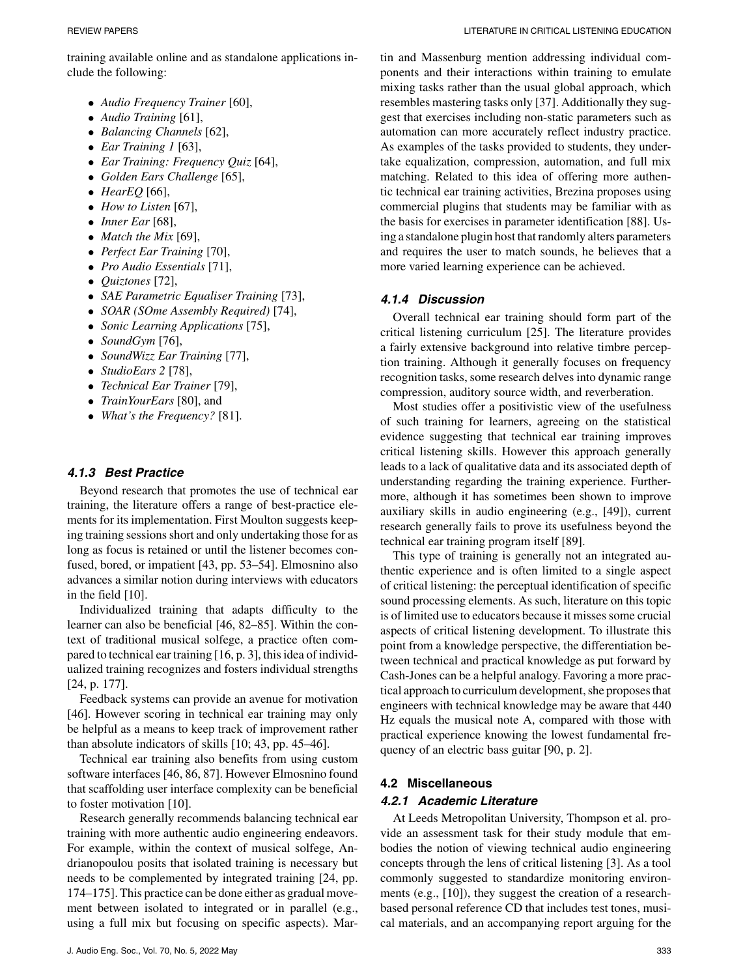training available online and as standalone applications include the following:

- *Audio Frequency Trainer* [60],
- *Audio Training* [61],
- *Balancing Channels* [62],
- *Ear Training 1* [63],
- *Ear Training: Frequency Quiz* [64],
- *Golden Ears Challenge* [65],
- *HearEQ* [66],
- *How to Listen* [67],
- *Inner Ear* [68],
- *Match the Mix* [69],
- *Perfect Ear Training* [70],
- *Pro Audio Essentials* [71],
- *Quiztones* [72],
- *SAE Parametric Equaliser Training* [73],
- *SOAR (SOme Assembly Required)* [74],
- *Sonic Learning Applications* [75],
- *SoundGym* [76],
- *SoundWizz Ear Training* [77],
- *StudioEars 2* [78],
- *Technical Ear Trainer* [79],
- *TrainYourEars* [80], and
- *What's the Frequency?* [81].

#### *4.1.3 Best Practice*

Beyond research that promotes the use of technical ear training, the literature offers a range of best-practice elements for its implementation. First Moulton suggests keeping training sessions short and only undertaking those for as long as focus is retained or until the listener becomes confused, bored, or impatient [43, pp. 53–54]. Elmosnino also advances a similar notion during interviews with educators in the field [10].

Individualized training that adapts difficulty to the learner can also be beneficial [46, 82–85]. Within the context of traditional musical solfege, a practice often compared to technical ear training [16, p. 3], this idea of individualized training recognizes and fosters individual strengths [24, p. 177].

Feedback systems can provide an avenue for motivation [46]. However scoring in technical ear training may only be helpful as a means to keep track of improvement rather than absolute indicators of skills [10; 43, pp. 45–46].

Technical ear training also benefits from using custom software interfaces [46, 86, 87]. However Elmosnino found that scaffolding user interface complexity can be beneficial to foster motivation [10].

Research generally recommends balancing technical ear training with more authentic audio engineering endeavors. For example, within the context of musical solfege, Andrianopoulou posits that isolated training is necessary but needs to be complemented by integrated training [24, pp. 174–175]. This practice can be done either as gradual movement between isolated to integrated or in parallel (e.g., using a full mix but focusing on specific aspects). Martin and Massenburg mention addressing individual components and their interactions within training to emulate mixing tasks rather than the usual global approach, which resembles mastering tasks only [37]. Additionally they suggest that exercises including non-static parameters such as automation can more accurately reflect industry practice. As examples of the tasks provided to students, they undertake equalization, compression, automation, and full mix matching. Related to this idea of offering more authentic technical ear training activities, Brezina proposes using commercial plugins that students may be familiar with as the basis for exercises in parameter identification [88]. Using a standalone plugin host that randomly alters parameters and requires the user to match sounds, he believes that a more varied learning experience can be achieved.

### *4.1.4 Discussion*

Overall technical ear training should form part of the critical listening curriculum [25]. The literature provides a fairly extensive background into relative timbre perception training. Although it generally focuses on frequency recognition tasks, some research delves into dynamic range compression, auditory source width, and reverberation.

Most studies offer a positivistic view of the usefulness of such training for learners, agreeing on the statistical evidence suggesting that technical ear training improves critical listening skills. However this approach generally leads to a lack of qualitative data and its associated depth of understanding regarding the training experience. Furthermore, although it has sometimes been shown to improve auxiliary skills in audio engineering (e.g., [49]), current research generally fails to prove its usefulness beyond the technical ear training program itself [89].

This type of training is generally not an integrated authentic experience and is often limited to a single aspect of critical listening: the perceptual identification of specific sound processing elements. As such, literature on this topic is of limited use to educators because it misses some crucial aspects of critical listening development. To illustrate this point from a knowledge perspective, the differentiation between technical and practical knowledge as put forward by Cash-Jones can be a helpful analogy. Favoring a more practical approach to curriculum development, she proposes that engineers with technical knowledge may be aware that 440 Hz equals the musical note A, compared with those with practical experience knowing the lowest fundamental frequency of an electric bass guitar [90, p. 2].

# **4.2 Miscellaneous** *4.2.1 Academic Literature*

At Leeds Metropolitan University, Thompson et al. provide an assessment task for their study module that embodies the notion of viewing technical audio engineering concepts through the lens of critical listening [3]. As a tool commonly suggested to standardize monitoring environments (e.g., [10]), they suggest the creation of a researchbased personal reference CD that includes test tones, musical materials, and an accompanying report arguing for the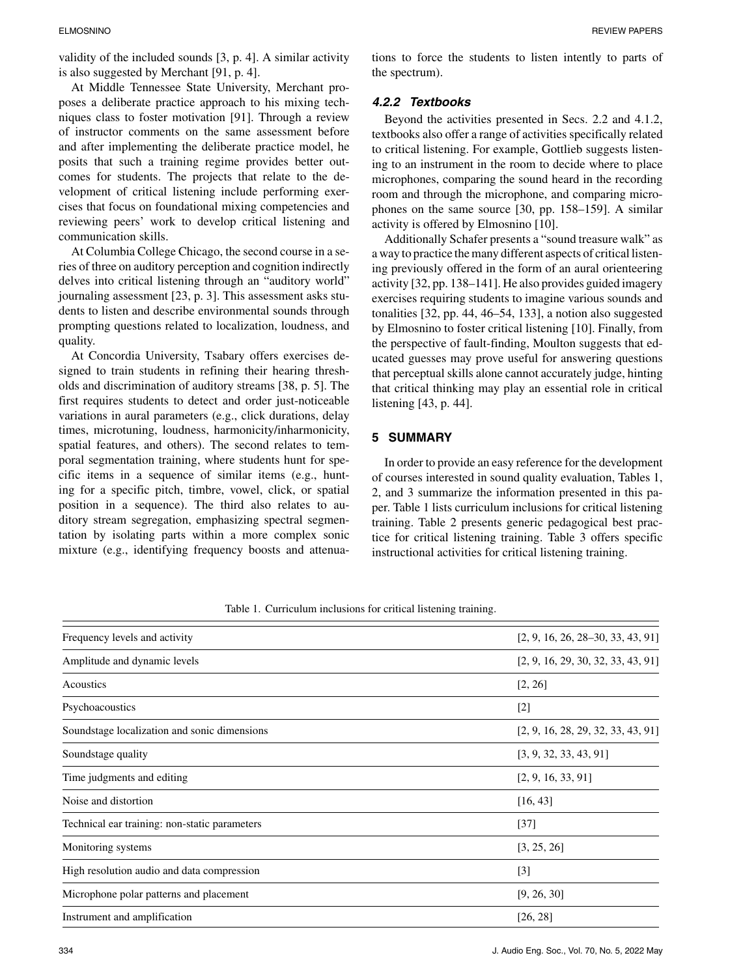validity of the included sounds [3, p. 4]. A similar activity is also suggested by Merchant [91, p. 4].

At Middle Tennessee State University, Merchant proposes a deliberate practice approach to his mixing techniques class to foster motivation [91]. Through a review of instructor comments on the same assessment before and after implementing the deliberate practice model, he posits that such a training regime provides better outcomes for students. The projects that relate to the development of critical listening include performing exercises that focus on foundational mixing competencies and reviewing peers' work to develop critical listening and communication skills.

At Columbia College Chicago, the second course in a series of three on auditory perception and cognition indirectly delves into critical listening through an "auditory world" journaling assessment [23, p. 3]. This assessment asks students to listen and describe environmental sounds through prompting questions related to localization, loudness, and quality.

At Concordia University, Tsabary offers exercises designed to train students in refining their hearing thresholds and discrimination of auditory streams [38, p. 5]. The first requires students to detect and order just-noticeable variations in aural parameters (e.g., click durations, delay times, microtuning, loudness, harmonicity/inharmonicity, spatial features, and others). The second relates to temporal segmentation training, where students hunt for specific items in a sequence of similar items (e.g., hunting for a specific pitch, timbre, vowel, click, or spatial position in a sequence). The third also relates to auditory stream segregation, emphasizing spectral segmentation by isolating parts within a more complex sonic mixture (e.g., identifying frequency boosts and attenuations to force the students to listen intently to parts of the spectrum).

## *4.2.2 Textbooks*

Beyond the activities presented in Secs. 2.2 and 4.1.2, textbooks also offer a range of activities specifically related to critical listening. For example, Gottlieb suggests listening to an instrument in the room to decide where to place microphones, comparing the sound heard in the recording room and through the microphone, and comparing microphones on the same source [30, pp. 158–159]. A similar activity is offered by Elmosnino [10].

Additionally Schafer presents a "sound treasure walk" as a way to practice the many different aspects of critical listening previously offered in the form of an aural orienteering activity [32, pp. 138–141]. He also provides guided imagery exercises requiring students to imagine various sounds and tonalities [32, pp. 44, 46–54, 133], a notion also suggested by Elmosnino to foster critical listening [10]. Finally, from the perspective of fault-finding, Moulton suggests that educated guesses may prove useful for answering questions that perceptual skills alone cannot accurately judge, hinting that critical thinking may play an essential role in critical listening [43, p. 44].

## **5 SUMMARY**

In order to provide an easy reference for the development of courses interested in sound quality evaluation, Tables 1, 2, and 3 summarize the information presented in this paper. Table 1 lists curriculum inclusions for critical listening training. Table 2 presents generic pedagogical best practice for critical listening training. Table 3 offers specific instructional activities for critical listening training.

| Frequency levels and activity                 | $[2, 9, 16, 26, 28-30, 33, 43, 91]$ |
|-----------------------------------------------|-------------------------------------|
| Amplitude and dynamic levels                  | [2, 9, 16, 29, 30, 32, 33, 43, 91]  |
| Acoustics                                     | [2, 26]                             |
| Psychoacoustics                               | $[2]$                               |
| Soundstage localization and sonic dimensions  | [2, 9, 16, 28, 29, 32, 33, 43, 91]  |
| Soundstage quality                            | [3, 9, 32, 33, 43, 91]              |
| Time judgments and editing                    | [2, 9, 16, 33, 91]                  |
| Noise and distortion                          | [16, 43]                            |
| Technical ear training: non-static parameters | $[37]$                              |
| Monitoring systems                            | [3, 25, 26]                         |
| High resolution audio and data compression    | $[3]$                               |
| Microphone polar patterns and placement       | [9, 26, 30]                         |
| Instrument and amplification                  | [26, 28]                            |

Table 1. Curriculum inclusions for critical listening training.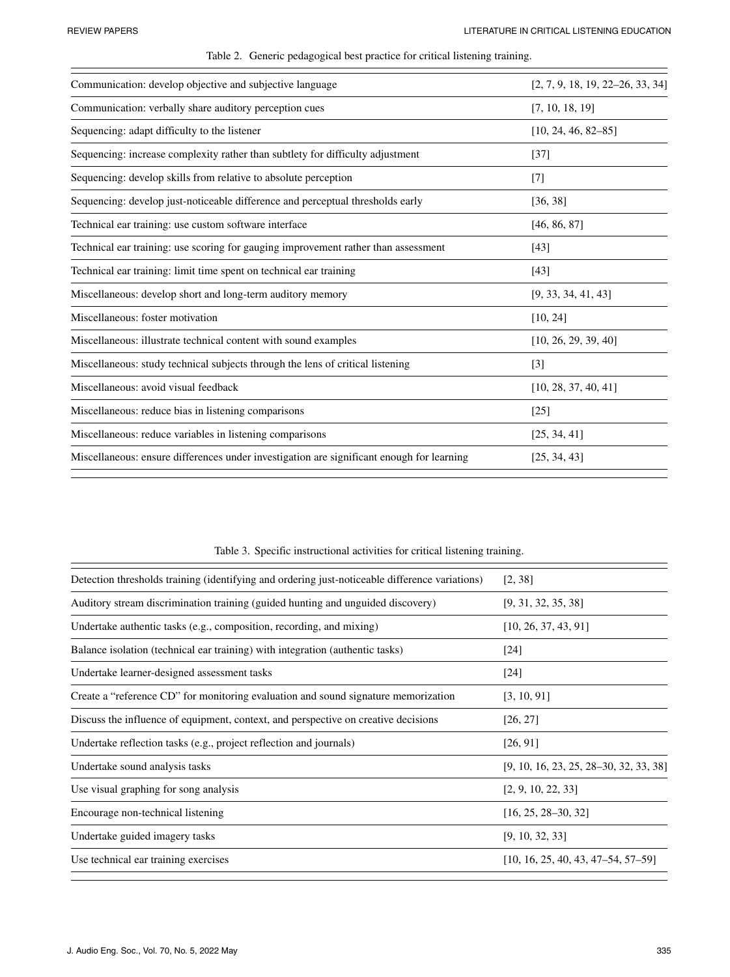| Communication: develop objective and subjective language                                  | [2, 7, 9, 18, 19, 22–26, 33, 34] |
|-------------------------------------------------------------------------------------------|----------------------------------|
| Communication: verbally share auditory perception cues                                    | [7, 10, 18, 19]                  |
| Sequencing: adapt difficulty to the listener                                              | $[10, 24, 46, 82-85]$            |
| Sequencing: increase complexity rather than subtlety for difficulty adjustment            | $[37]$                           |
| Sequencing: develop skills from relative to absolute perception                           | $\lceil 7 \rceil$                |
| Sequencing: develop just-noticeable difference and perceptual thresholds early            | [36, 38]                         |
| Technical ear training: use custom software interface                                     | [46, 86, 87]                     |
| Technical ear training: use scoring for gauging improvement rather than assessment        | [43]                             |
| Technical ear training: limit time spent on technical ear training                        | [43]                             |
| Miscellaneous: develop short and long-term auditory memory                                | [9, 33, 34, 41, 43]              |
| Miscellaneous: foster motivation                                                          | [10, 24]                         |
| Miscellaneous: illustrate technical content with sound examples                           | [10, 26, 29, 39, 40]             |
| Miscellaneous: study technical subjects through the lens of critical listening            | $\lceil 3 \rceil$                |
| Miscellaneous: avoid visual feedback                                                      | [10, 28, 37, 40, 41]             |
| Miscellaneous: reduce bias in listening comparisons                                       | $[25]$                           |
| Miscellaneous: reduce variables in listening comparisons                                  | [25, 34, 41]                     |
| Miscellaneous: ensure differences under investigation are significant enough for learning | [25, 34, 43]                     |
|                                                                                           |                                  |

Table 2. Generic pedagogical best practice for critical listening training.

| Detection thresholds training (identifying and ordering just-noticeable difference variations) | [2, 38]                                |
|------------------------------------------------------------------------------------------------|----------------------------------------|
| Auditory stream discrimination training (guided hunting and unguided discovery)                | [9, 31, 32, 35, 38]                    |
| Undertake authentic tasks (e.g., composition, recording, and mixing)                           | [10, 26, 37, 43, 91]                   |
| Balance isolation (technical ear training) with integration (authentic tasks)                  | $[24]$                                 |
| Undertake learner-designed assessment tasks                                                    | $\lceil 24 \rceil$                     |
| Create a "reference CD" for monitoring evaluation and sound signature memorization             | [3, 10, 91]                            |
| Discuss the influence of equipment, context, and perspective on creative decisions             | [26, 27]                               |
| Undertake reflection tasks (e.g., project reflection and journals)                             | [26, 91]                               |
| Undertake sound analysis tasks                                                                 | [9, 10, 16, 23, 25, 28–30, 32, 33, 38] |
| Use visual graphing for song analysis                                                          | [2, 9, 10, 22, 33]                     |
| Encourage non-technical listening                                                              | $[16, 25, 28-30, 32]$                  |
| Undertake guided imagery tasks                                                                 | [9, 10, 32, 33]                        |
| Use technical ear training exercises                                                           | $[10, 16, 25, 40, 43, 47-54, 57-59]$   |
|                                                                                                |                                        |

Table 3. Specific instructional activities for critical listening training.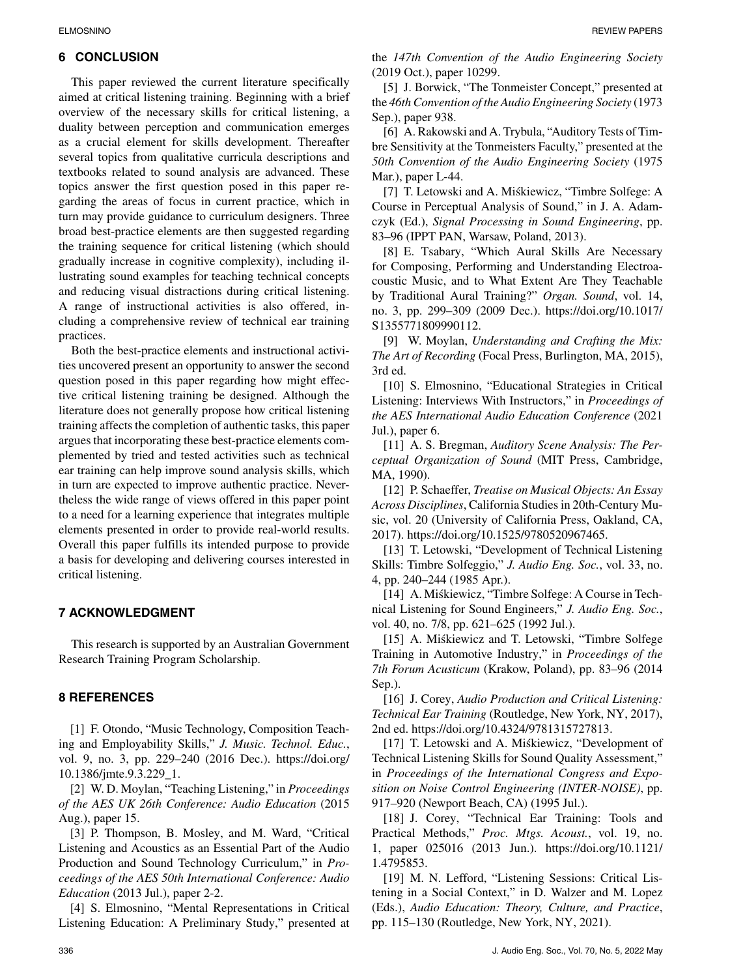# **6 CONCLUSION**

This paper reviewed the current literature specifically aimed at critical listening training. Beginning with a brief overview of the necessary skills for critical listening, a duality between perception and communication emerges as a crucial element for skills development. Thereafter several topics from qualitative curricula descriptions and textbooks related to sound analysis are advanced. These topics answer the first question posed in this paper regarding the areas of focus in current practice, which in turn may provide guidance to curriculum designers. Three broad best-practice elements are then suggested regarding the training sequence for critical listening (which should gradually increase in cognitive complexity), including illustrating sound examples for teaching technical concepts and reducing visual distractions during critical listening. A range of instructional activities is also offered, including a comprehensive review of technical ear training practices.

Both the best-practice elements and instructional activities uncovered present an opportunity to answer the second question posed in this paper regarding how might effective critical listening training be designed. Although the literature does not generally propose how critical listening training affects the completion of authentic tasks, this paper argues that incorporating these best-practice elements complemented by tried and tested activities such as technical ear training can help improve sound analysis skills, which in turn are expected to improve authentic practice. Nevertheless the wide range of views offered in this paper point to a need for a learning experience that integrates multiple elements presented in order to provide real-world results. Overall this paper fulfills its intended purpose to provide a basis for developing and delivering courses interested in critical listening.

# **7 ACKNOWLEDGMENT**

This research is supported by an Australian Government Research Training Program Scholarship.

## **8 REFERENCES**

[1] F. Otondo, "Music Technology, Composition Teaching and Employability Skills," *J. Music. Technol. Educ.*, vol. 9, no. 3, pp. 229–240 (2016 Dec.). [https://doi.org/](https://doi.org/10.1386/jmte.9.3.229_1) [10.1386/jmte.9.3.229\\_1.](https://doi.org/10.1386/jmte.9.3.229_1)

[2] W. D. Moylan, "Teaching Listening," in *Proceedings of the AES UK 26th Conference: Audio Education* (2015 Aug.), paper 15.

[3] P. Thompson, B. Mosley, and M. Ward, "Critical Listening and Acoustics as an Essential Part of the Audio Production and Sound Technology Curriculum," in *Proceedings of the AES 50th International Conference: Audio Education* (2013 Jul.), paper 2-2.

[4] S. Elmosnino, "Mental Representations in Critical Listening Education: A Preliminary Study," presented at the *147th Convention of the Audio Engineering Society* (2019 Oct.), paper 10299.

[5] J. Borwick, "The Tonmeister Concept," presented at the *46th Convention of the Audio Engineering Society* (1973 Sep.), paper 938.

[6] A. Rakowski and A. Trybula, "Auditory Tests of Timbre Sensitivity at the Tonmeisters Faculty," presented at the *50th Convention of the Audio Engineering Society* (1975 Mar.), paper L-44.

[7] T. Letowski and A. Miskiewicz, "Timbre Solfege: A ´ Course in Perceptual Analysis of Sound," in J. A. Adamczyk (Ed.), *Signal Processing in Sound Engineering*, pp. 83–96 (IPPT PAN, Warsaw, Poland, 2013).

[8] E. Tsabary, "Which Aural Skills Are Necessary for Composing, Performing and Understanding Electroacoustic Music, and to What Extent Are They Teachable by Traditional Aural Training?" *Organ. Sound*, vol. 14, no. 3, pp. 299–309 (2009 Dec.). [https://doi.org/10.1017/](https://doi.org/10.1017/S1355771809990112) [S1355771809990112.](https://doi.org/10.1017/S1355771809990112)

[9] W. Moylan, *Understanding and Crafting the Mix: The Art of Recording* (Focal Press, Burlington, MA, 2015), 3rd ed.

[10] S. Elmosnino, "Educational Strategies in Critical Listening: Interviews With Instructors," in *Proceedings of the AES International Audio Education Conference* (2021 Jul.), paper 6.

[11] A. S. Bregman, *Auditory Scene Analysis: The Perceptual Organization of Sound* (MIT Press, Cambridge, MA, 1990).

[12] P. Schaeffer, *Treatise on Musical Objects: An Essay Across Disciplines*, California Studies in 20th-Century Music, vol. 20 (University of California Press, Oakland, CA, 2017). [https://doi.org/10.1525/9780520967465.](https://doi.org/10.1525/9780520967465)

[13] T. Letowski, "Development of Technical Listening Skills: Timbre Solfeggio," *J. Audio Eng. Soc.*, vol. 33, no. 4, pp. 240–244 (1985 Apr.).

[14] A. Miśkiewicz, "Timbre Solfege: A Course in Technical Listening for Sound Engineers," *J. Audio Eng. Soc.*, vol. 40, no. 7/8, pp. 621–625 (1992 Jul.).

[15] A. Miśkiewicz and T. Letowski, "Timbre Solfege" Training in Automotive Industry," in *Proceedings of the 7th Forum Acusticum* (Krakow, Poland), pp. 83–96 (2014 Sep.).

[16] J. Corey, *Audio Production and Critical Listening: Technical Ear Training* (Routledge, New York, NY, 2017), 2nd ed. [https://doi.org/10.4324/9781315727813.](https://doi.org/10.4324/9781315727813)

[17] T. Letowski and A. Miśkiewicz, "Development of Technical Listening Skills for Sound Quality Assessment," in *Proceedings of the International Congress and Exposition on Noise Control Engineering (INTER-NOISE)*, pp. 917–920 (Newport Beach, CA) (1995 Jul.).

[18] J. Corey, "Technical Ear Training: Tools and Practical Methods," *Proc. Mtgs. Acoust.*, vol. 19, no. 1, paper 025016 (2013 Jun.). [https://doi.org/10.1121/](https://doi.org/10.1121/1.4795853) [1.4795853.](https://doi.org/10.1121/1.4795853)

[19] M. N. Lefford, "Listening Sessions: Critical Listening in a Social Context," in D. Walzer and M. Lopez (Eds.), *Audio Education: Theory, Culture, and Practice*, pp. 115–130 (Routledge, New York, NY, 2021).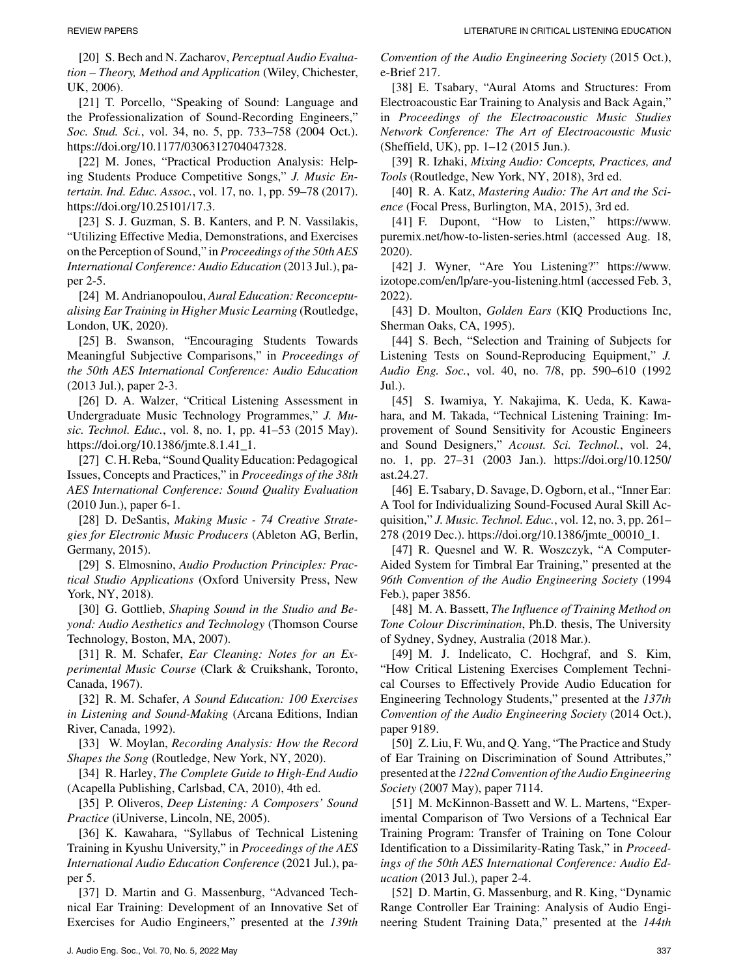[20] S. Bech and N. Zacharov, *Perceptual Audio Evaluation – Theory, Method and Application* (Wiley, Chichester, UK, 2006).

[21] T. Porcello, "Speaking of Sound: Language and the Professionalization of Sound-Recording Engineers," *Soc. Stud. Sci.*, vol. 34, no. 5, pp. 733–758 (2004 Oct.). [https://doi.org/10.1177/0306312704047328.](https://doi.org/10.1177/0306312704047328)

[22] M. Jones, "Practical Production Analysis: Helping Students Produce Competitive Songs," *J. Music Entertain. Ind. Educ. Assoc.*, vol. 17, no. 1, pp. 59–78 (2017). [https://doi.org/10.25101/17.3.](https://doi.org/10.25101/17.3)

[23] S. J. Guzman, S. B. Kanters, and P. N. Vassilakis, "Utilizing Effective Media, Demonstrations, and Exercises on the Perception of Sound," in *Proceedings of the 50th AES International Conference: Audio Education* (2013 Jul.), paper 2-5.

[24] M. Andrianopoulou, *Aural Education: Reconceptualising Ear Training in Higher Music Learning* (Routledge, London, UK, 2020).

[25] B. Swanson, "Encouraging Students Towards Meaningful Subjective Comparisons," in *Proceedings of the 50th AES International Conference: Audio Education* (2013 Jul.), paper 2-3.

[26] D. A. Walzer, "Critical Listening Assessment in Undergraduate Music Technology Programmes," *J. Music. Technol. Educ.*, vol. 8, no. 1, pp. 41–53 (2015 May). [https://doi.org/10.1386/jmte.8.1.41\\_1.](https://doi.org/10.1386/jmte.8.1.41_1)

[27] C. H. Reba, "Sound Quality Education: Pedagogical Issues, Concepts and Practices," in *Proceedings of the 38th AES International Conference: Sound Quality Evaluation* (2010 Jun.), paper 6-1.

[28] D. DeSantis, *Making Music - 74 Creative Strategies for Electronic Music Producers* (Ableton AG, Berlin, Germany, 2015).

[29] S. Elmosnino, *Audio Production Principles: Practical Studio Applications* (Oxford University Press, New York, NY, 2018).

[30] G. Gottlieb, *Shaping Sound in the Studio and Beyond: Audio Aesthetics and Technology* (Thomson Course Technology, Boston, MA, 2007).

[31] R. M. Schafer, *Ear Cleaning: Notes for an Experimental Music Course* (Clark & Cruikshank, Toronto, Canada, 1967).

[32] R. M. Schafer, *A Sound Education: 100 Exercises in Listening and Sound-Making* (Arcana Editions, Indian River, Canada, 1992).

[33] W. Moylan, *Recording Analysis: How the Record Shapes the Song* (Routledge, New York, NY, 2020).

[34] R. Harley, *The Complete Guide to High-End Audio* (Acapella Publishing, Carlsbad, CA, 2010), 4th ed.

[35] P. Oliveros, *Deep Listening: A Composers' Sound Practice* (iUniverse, Lincoln, NE, 2005).

[36] K. Kawahara, "Syllabus of Technical Listening Training in Kyushu University," in *Proceedings of the AES International Audio Education Conference* (2021 Jul.), paper 5.

[37] D. Martin and G. Massenburg, "Advanced Technical Ear Training: Development of an Innovative Set of Exercises for Audio Engineers," presented at the *139th*

*Convention of the Audio Engineering Society* (2015 Oct.), e-Brief 217.

[38] E. Tsabary, "Aural Atoms and Structures: From Electroacoustic Ear Training to Analysis and Back Again," in *Proceedings of the Electroacoustic Music Studies Network Conference: The Art of Electroacoustic Music* (Sheffield, UK), pp. 1–12 (2015 Jun.).

[39] R. Izhaki, *Mixing Audio: Concepts, Practices, and Tools* (Routledge, New York, NY, 2018), 3rd ed.

[40] R. A. Katz, *Mastering Audio: The Art and the Science* (Focal Press, Burlington, MA, 2015), 3rd ed.

[41] F. Dupont, "How to Listen," [https://www.](https://www.puremix.net/how-to-listen-series.html) [puremix.net/how-to-listen-series.html](https://www.puremix.net/how-to-listen-series.html) (accessed Aug. 18, 2020).

[42] J. Wyner, "Are You Listening?" [https://www.](https://www.izotope.com/en/lp/are-you-listening.html) [izotope.com/en/lp/are-you-listening.html](https://www.izotope.com/en/lp/are-you-listening.html) (accessed Feb. 3, 2022).

[43] D. Moulton, *Golden Ears* (KIQ Productions Inc, Sherman Oaks, CA, 1995).

[44] S. Bech, "Selection and Training of Subjects for Listening Tests on Sound-Reproducing Equipment," *J. Audio Eng. Soc.*, vol. 40, no. 7/8, pp. 590–610 (1992 Jul.).

[45] S. Iwamiya, Y. Nakajima, K. Ueda, K. Kawahara, and M. Takada, "Technical Listening Training: Improvement of Sound Sensitivity for Acoustic Engineers and Sound Designers," *Acoust. Sci. Technol.*, vol. 24, no. 1, pp. 27–31 (2003 Jan.). [https://doi.org/10.1250/](https://doi.org/10.1250/ast.24.27) [ast.24.27.](https://doi.org/10.1250/ast.24.27)

[46] E. Tsabary, D. Savage, D. Ogborn, et al., "Inner Ear: A Tool for Individualizing Sound-Focused Aural Skill Acquisition," *J. Music. Technol. Educ.*, vol. 12, no. 3, pp. 261– 278 (2019 Dec.). [https://doi.org/10.1386/jmte\\_00010\\_1.](https://doi.org/10.1386/jmte_00010_1)

[47] R. Quesnel and W. R. Woszczyk, "A Computer-Aided System for Timbral Ear Training," presented at the *96th Convention of the Audio Engineering Society* (1994 Feb.), paper 3856.

[48] M. A. Bassett, *The Influence of Training Method on Tone Colour Discrimination*, Ph.D. thesis, The University of Sydney, Sydney, Australia (2018 Mar.).

[49] M. J. Indelicato, C. Hochgraf, and S. Kim, "How Critical Listening Exercises Complement Technical Courses to Effectively Provide Audio Education for Engineering Technology Students," presented at the *137th Convention of the Audio Engineering Society* (2014 Oct.), paper 9189.

[50] Z. Liu, F. Wu, and Q. Yang, "The Practice and Study of Ear Training on Discrimination of Sound Attributes," presented at the *122nd Convention of the Audio Engineering Society* (2007 May), paper 7114.

[51] M. McKinnon-Bassett and W. L. Martens, "Experimental Comparison of Two Versions of a Technical Ear Training Program: Transfer of Training on Tone Colour Identification to a Dissimilarity-Rating Task," in *Proceedings of the 50th AES International Conference: Audio Education* (2013 Jul.), paper 2-4.

[52] D. Martin, G. Massenburg, and R. King, "Dynamic Range Controller Ear Training: Analysis of Audio Engineering Student Training Data," presented at the *144th*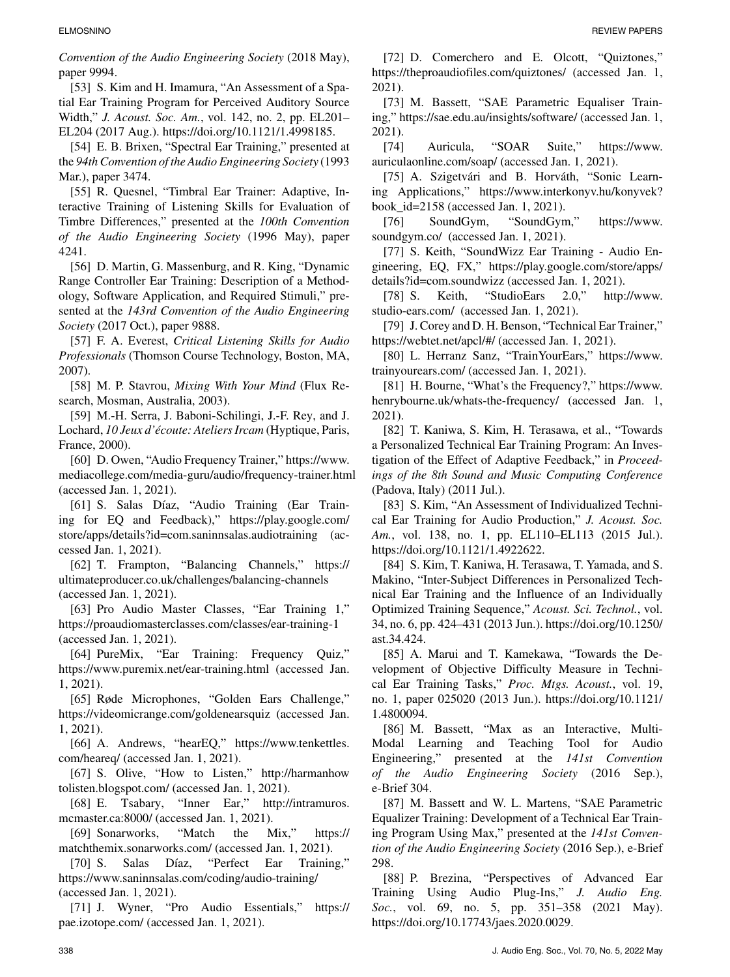*Convention of the Audio Engineering Society* (2018 May), paper 9994.

[53] S. Kim and H. Imamura, "An Assessment of a Spatial Ear Training Program for Perceived Auditory Source Width," *J. Acoust. Soc. Am.*, vol. 142, no. 2, pp. EL201– EL204 (2017 Aug.). [https://doi.org/10.1121/1.4998185.](https://doi.org/10.1121/1.4998185)

[54] E. B. Brixen, "Spectral Ear Training," presented at the *94th Convention of the Audio Engineering Society* (1993 Mar.), paper 3474.

[55] R. Quesnel, "Timbral Ear Trainer: Adaptive, Interactive Training of Listening Skills for Evaluation of Timbre Differences," presented at the *100th Convention of the Audio Engineering Society* (1996 May), paper 4241.

[56] D. Martin, G. Massenburg, and R. King, "Dynamic Range Controller Ear Training: Description of a Methodology, Software Application, and Required Stimuli," presented at the *143rd Convention of the Audio Engineering Society* (2017 Oct.), paper 9888.

[57] F. A. Everest, *Critical Listening Skills for Audio Professionals* (Thomson Course Technology, Boston, MA, 2007).

[58] M. P. Stavrou, *Mixing With Your Mind* (Flux Research, Mosman, Australia, 2003).

[59] M.-H. Serra, J. Baboni-Schilingi, J.-F. Rey, and J. Lochard, *10 Jeux d'ecoute: Ateliers Ircam ´* (Hyptique, Paris, France, 2000).

[60] D. Owen, "Audio Frequency Trainer," [https://www.](https://www.mediacollege.com/media-guru/audio/frequency-trainer.html) [mediacollege.com/media-guru/audio/frequency-trainer.html](https://www.mediacollege.com/media-guru/audio/frequency-trainer.html) (accessed Jan. 1, 2021).

[61] S. Salas Díaz, "Audio Training (Ear Training for EQ and Feedback)," [https://play.google.com/](https://play.google.com/store/apps/details?id=com.saninnsalas.audiotraining) [store/apps/details?id=com.saninnsalas.audiotraining](https://play.google.com/store/apps/details?id=com.saninnsalas.audiotraining) (accessed Jan. 1, 2021).

[62] T. Frampton, "Balancing Channels," [https://](https://ultimateproducer.co.uk/challenges/balancing-channels) [ultimateproducer.co.uk/challenges/balancing-channels](https://ultimateproducer.co.uk/challenges/balancing-channels) (accessed Jan. 1, 2021).

[63] Pro Audio Master Classes, "Ear Training 1," <https://proaudiomasterclasses.com/classes/ear-training-1> (accessed Jan. 1, 2021).

[64] PureMix, "Ear Training: Frequency Quiz," <https://www.puremix.net/ear-training.html> (accessed Jan. 1, 2021).

[65] Røde Microphones, "Golden Ears Challenge," <https://videomicrange.com/goldenearsquiz> (accessed Jan. 1, 2021).

[66] A. Andrews, "hearEQ," [https://www.tenkettles.](https://www.tenkettles.com/heareq/) [com/heareq/ \(](https://www.tenkettles.com/heareq/)accessed Jan. 1, 2021).

[67] S. Olive, "How to Listen," [http://harmanhow](http://harmanhowtolisten.blogspot.com/) [tolisten.blogspot.com/ \(](http://harmanhowtolisten.blogspot.com/)accessed Jan. 1, 2021).

[68] E. Tsabary, "Inner Ear," [http://intramuros.](http://intramuros.mcmaster.ca:8000/) [mcmaster.ca:8000/ \(](http://intramuros.mcmaster.ca:8000/)accessed Jan. 1, 2021).

[69] Sonarworks, "Match the Mix," [https://](https://matchthemix.sonarworks.com/) [matchthemix.sonarworks.com/ \(](https://matchthemix.sonarworks.com/)accessed Jan. 1, 2021).

[70] S. Salas Díaz, "Perfect Ear Training," <https://www.saninnsalas.com/coding/audio-training/> [\(](https://www.saninnsalas.com/coding/audio-training/)accessed Jan. 1, 2021).

[71] J. Wyner, "Pro Audio Essentials," [https://](https://pae.izotope.com/) [pae.izotope.com/ \(](https://pae.izotope.com/)accessed Jan. 1, 2021).

[72] D. Comerchero and E. Olcott, "Quiztones," [https://theproaudiofiles.com/quiztones/ \(](https://theproaudiofiles.com/quiztones/)accessed Jan. 1, 2021).

[73] M. Bassett, "SAE Parametric Equaliser Training,"<https://sae.edu.au/insights/software/> (accessed Jan. 1, 2021).

[74] Auricula, "SOAR Suite," [https://www.](https://www.auriculaonline.com/soap/) [auriculaonline.com/soap/ \(](https://www.auriculaonline.com/soap/)accessed Jan. 1, 2021).

[75] A. Szigetvári and B. Horváth, "Sonic Learning Applications," [https://www.interkonyv.hu/konyvek?](https://www.interkonyv.hu/konyvek?book_id=2158) [book\\_id=2158](https://www.interkonyv.hu/konyvek?book_id=2158) (accessed Jan. 1, 2021).

[76] SoundGym, "SoundGym," [https://www.](https://www.soundgym.co/) [soundgym.co/](https://www.soundgym.co/) (accessed Jan. 1, 2021).

[77] S. Keith, "SoundWizz Ear Training - Audio Engineering, EQ, FX," [https://play.google.com/store/apps/](https://play.google.com/store/apps/details?id=com.soundwizz) [details?id=com.soundwizz](https://play.google.com/store/apps/details?id=com.soundwizz) (accessed Jan. 1, 2021).

[78] S. Keith, "StudioEars 2.0," [http://www.](http://www.studio-ears.com/) [studio-ears.com/](http://www.studio-ears.com/) (accessed Jan. 1, 2021).

[79] J. Corey and D. H. Benson, "Technical Ear Trainer," [https://webtet.net/apcl/#/ \(](https://webtet.net/apcl/#/)accessed Jan. 1, 2021).

[80] L. Herranz Sanz, "TrainYourEars," [https://www.](https://www.trainyourears.com/) [trainyourears.com/ \(](https://www.trainyourears.com/)accessed Jan. 1, 2021).

[81] H. Bourne, "What's the Frequency?," [https://www.](https://www.henrybourne.uk/whats-the-frequency/) [henrybourne.uk/whats-the-frequency/ \(](https://www.henrybourne.uk/whats-the-frequency/)accessed Jan. 1, 2021).

[82] T. Kaniwa, S. Kim, H. Terasawa, et al., "Towards a Personalized Technical Ear Training Program: An Investigation of the Effect of Adaptive Feedback," in *Proceedings of the 8th Sound and Music Computing Conference* (Padova, Italy) (2011 Jul.).

[83] S. Kim, "An Assessment of Individualized Technical Ear Training for Audio Production," *J. Acoust. Soc. Am.*, vol. 138, no. 1, pp. EL110–EL113 (2015 Jul.). [https://doi.org/10.1121/1.4922622.](https://doi.org/10.1121/1.4922622)

[84] S. Kim, T. Kaniwa, H. Terasawa, T. Yamada, and S. Makino, "Inter-Subject Differences in Personalized Technical Ear Training and the Influence of an Individually Optimized Training Sequence," *Acoust. Sci. Technol.*, vol. 34, no. 6, pp. 424–431 (2013 Jun.). [https://doi.org/10.1250/](https://doi.org/10.1250/ast.34.424) [ast.34.424.](https://doi.org/10.1250/ast.34.424)

[85] A. Marui and T. Kamekawa, "Towards the Development of Objective Difficulty Measure in Technical Ear Training Tasks," *Proc. Mtgs. Acoust.*, vol. 19, no. 1, paper 025020 (2013 Jun.). [https://doi.org/10.1121/](https://doi.org/10.1121/1.4800094) [1.4800094.](https://doi.org/10.1121/1.4800094)

[86] M. Bassett, "Max as an Interactive, Multi-Modal Learning and Teaching Tool for Audio Engineering," presented at the *141st Convention of the Audio Engineering Society* (2016 Sep.), e-Brief 304.

[87] M. Bassett and W. L. Martens, "SAE Parametric Equalizer Training: Development of a Technical Ear Training Program Using Max," presented at the *141st Convention of the Audio Engineering Society* (2016 Sep.), e-Brief 298.

[88] P. Brezina, "Perspectives of Advanced Ear Training Using Audio Plug-Ins," *J. Audio Eng. Soc.*, vol. 69, no. 5, pp. 351–358 (2021 May). [https://doi.org/10.17743/jaes.2020.0029.](https://doi.org/10.17743/jaes.2020.0029)